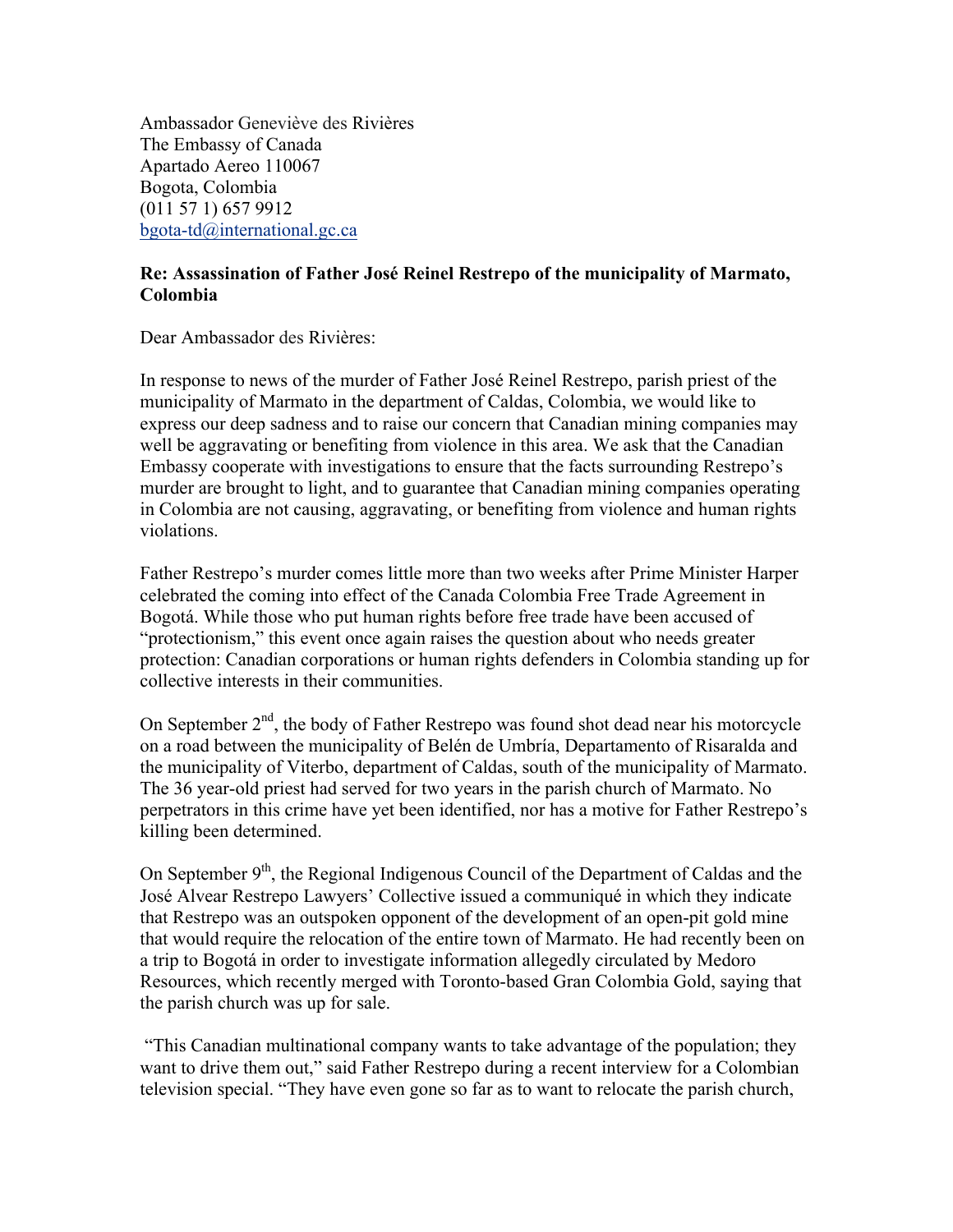Ambassador Geneviève des Rivières The Embassy of Canada Apartado Aereo 110067 Bogota, Colombia (011 57 1) 657 9912 bgota-td@international.gc.ca

## **Re: Assassination of Father José Reinel Restrepo of the municipality of Marmato, Colombia**

Dear Ambassador des Rivières:

In response to news of the murder of Father José Reinel Restrepo, parish priest of the municipality of Marmato in the department of Caldas, Colombia, we would like to express our deep sadness and to raise our concern that Canadian mining companies may well be aggravating or benefiting from violence in this area. We ask that the Canadian Embassy cooperate with investigations to ensure that the facts surrounding Restrepo's murder are brought to light, and to guarantee that Canadian mining companies operating in Colombia are not causing, aggravating, or benefiting from violence and human rights violations.

Father Restrepo's murder comes little more than two weeks after Prime Minister Harper celebrated the coming into effect of the Canada Colombia Free Trade Agreement in Bogotá. While those who put human rights before free trade have been accused of "protectionism," this event once again raises the question about who needs greater protection: Canadian corporations or human rights defenders in Colombia standing up for collective interests in their communities.

On September  $2<sup>nd</sup>$ , the body of Father Restrepo was found shot dead near his motorcycle on a road between the municipality of Belén de Umbría, Departamento of Risaralda and the municipality of Viterbo, department of Caldas, south of the municipality of Marmato. The 36 year-old priest had served for two years in the parish church of Marmato. No perpetrators in this crime have yet been identified, nor has a motive for Father Restrepo's killing been determined.

On September  $9<sup>th</sup>$ , the Regional Indigenous Council of the Department of Caldas and the José Alvear Restrepo Lawyers' Collective issued a communiqué in which they indicate that Restrepo was an outspoken opponent of the development of an open-pit gold mine that would require the relocation of the entire town of Marmato. He had recently been on a trip to Bogotá in order to investigate information allegedly circulated by Medoro Resources, which recently merged with Toronto-based Gran Colombia Gold, saying that the parish church was up for sale.

"This Canadian multinational company wants to take advantage of the population; they want to drive them out," said Father Restrepo during a recent interview for a Colombian television special. "They have even gone so far as to want to relocate the parish church,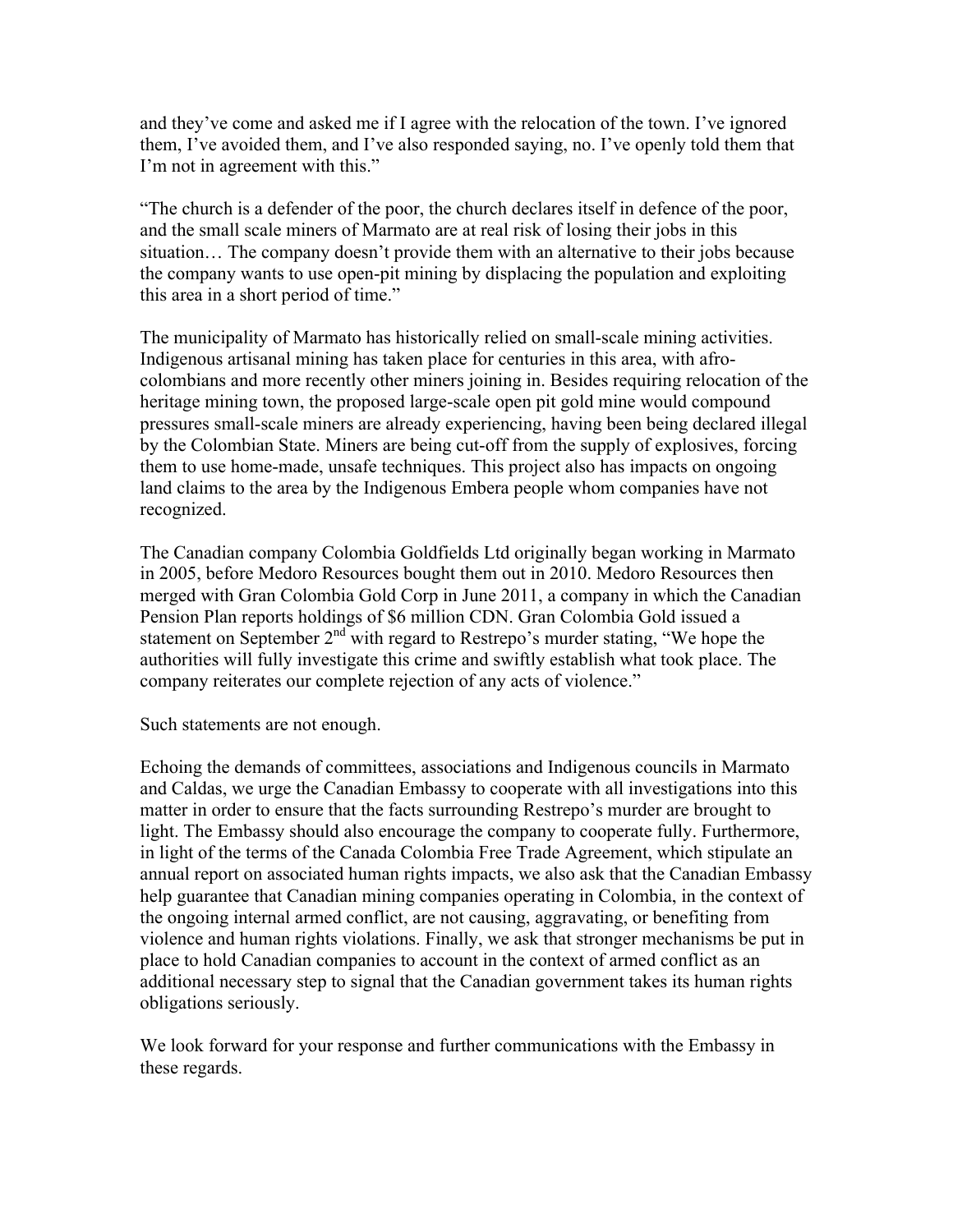and they've come and asked me if I agree with the relocation of the town. I've ignored them, I've avoided them, and I've also responded saying, no. I've openly told them that I'm not in agreement with this."

"The church is a defender of the poor, the church declares itself in defence of the poor, and the small scale miners of Marmato are at real risk of losing their jobs in this situation… The company doesn't provide them with an alternative to their jobs because the company wants to use open-pit mining by displacing the population and exploiting this area in a short period of time."

The municipality of Marmato has historically relied on small-scale mining activities. Indigenous artisanal mining has taken place for centuries in this area, with afrocolombians and more recently other miners joining in. Besides requiring relocation of the heritage mining town, the proposed large-scale open pit gold mine would compound pressures small-scale miners are already experiencing, having been being declared illegal by the Colombian State. Miners are being cut-off from the supply of explosives, forcing them to use home-made, unsafe techniques. This project also has impacts on ongoing land claims to the area by the Indigenous Embera people whom companies have not recognized.

The Canadian company Colombia Goldfields Ltd originally began working in Marmato in 2005, before Medoro Resources bought them out in 2010. Medoro Resources then merged with Gran Colombia Gold Corp in June 2011, a company in which the Canadian Pension Plan reports holdings of \$6 million CDN. Gran Colombia Gold issued a statement on September 2<sup>nd</sup> with regard to Restrepo's murder stating, "We hope the authorities will fully investigate this crime and swiftly establish what took place. The company reiterates our complete rejection of any acts of violence."

Such statements are not enough.

Echoing the demands of committees, associations and Indigenous councils in Marmato and Caldas, we urge the Canadian Embassy to cooperate with all investigations into this matter in order to ensure that the facts surrounding Restrepo's murder are brought to light. The Embassy should also encourage the company to cooperate fully. Furthermore, in light of the terms of the Canada Colombia Free Trade Agreement, which stipulate an annual report on associated human rights impacts, we also ask that the Canadian Embassy help guarantee that Canadian mining companies operating in Colombia, in the context of the ongoing internal armed conflict, are not causing, aggravating, or benefiting from violence and human rights violations. Finally, we ask that stronger mechanisms be put in place to hold Canadian companies to account in the context of armed conflict as an additional necessary step to signal that the Canadian government takes its human rights obligations seriously.

We look forward for your response and further communications with the Embassy in these regards.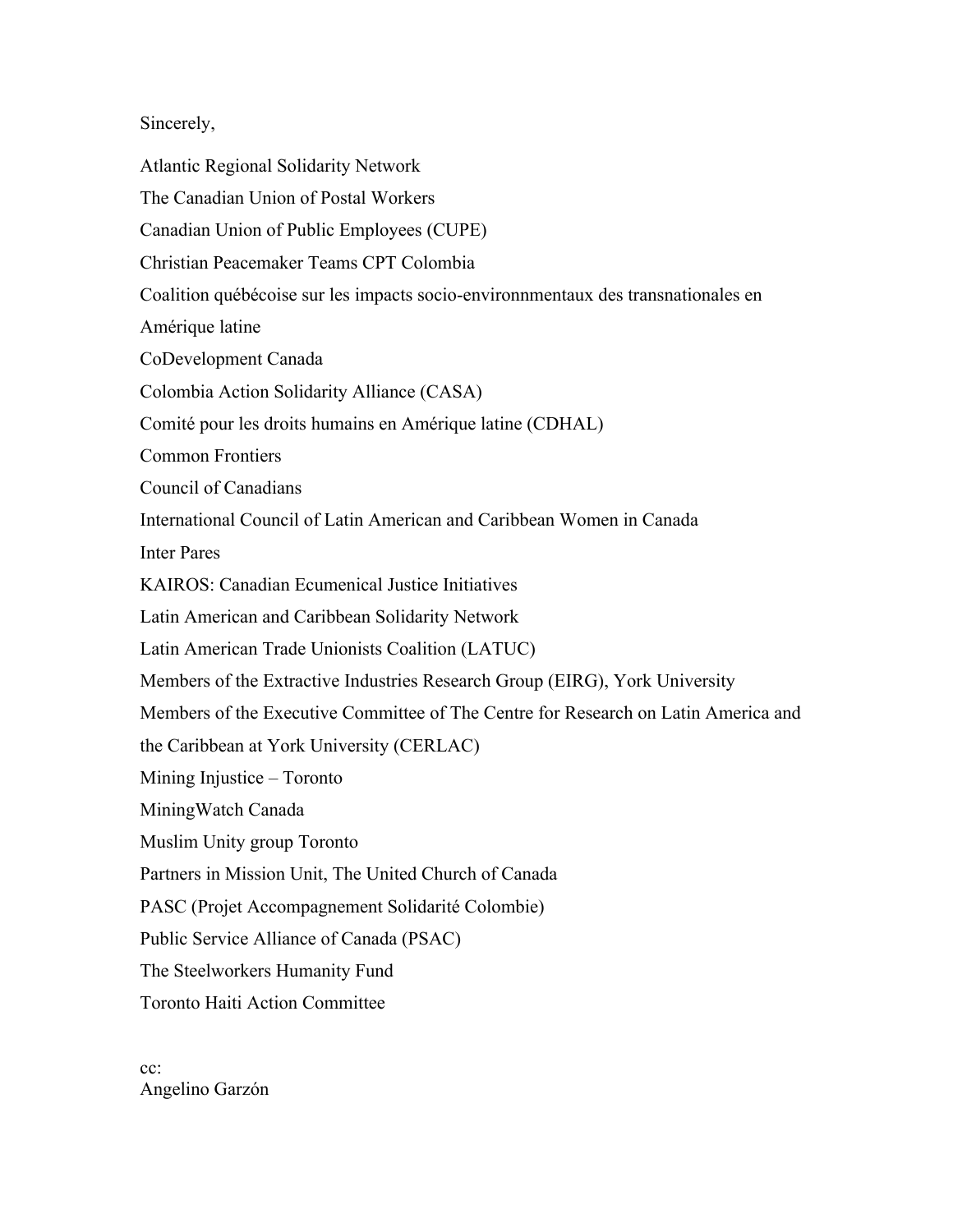## Sincerely,

Atlantic Regional Solidarity Network

The Canadian Union of Postal Workers Canadian Union of Public Employees (CUPE) Christian Peacemaker Teams CPT Colombia Coalition québécoise sur les impacts socio-environnmentaux des transnationales en Amérique latine CoDevelopment Canada Colombia Action Solidarity Alliance (CASA) Comité pour les droits humains en Amérique latine (CDHAL) Common Frontiers Council of Canadians International Council of Latin American and Caribbean Women in Canada Inter Pares KAIROS: Canadian Ecumenical Justice Initiatives Latin American and Caribbean Solidarity Network Latin American Trade Unionists Coalition (LATUC) Members of the Extractive Industries Research Group (EIRG), York University Members of the Executive Committee of The Centre for Research on Latin America and the Caribbean at York University (CERLAC) Mining Injustice – Toronto MiningWatch Canada Muslim Unity group Toronto Partners in Mission Unit, The United Church of Canada PASC (Projet Accompagnement Solidarité Colombie) Public Service Alliance of Canada (PSAC) The Steelworkers Humanity Fund Toronto Haiti Action Committee

cc: Angelino Garzón